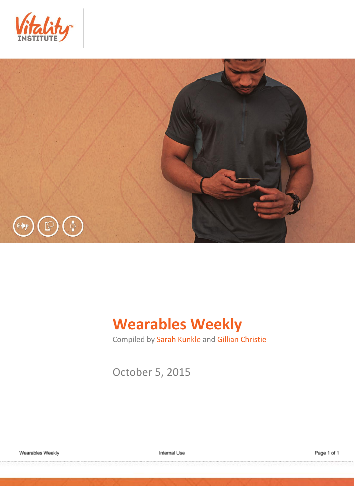



# **Wearables Weekly**

Compiled by Sarah Kunkle and Gillian Christie

October 5, 2015

Internal Use

Page 1 of 1